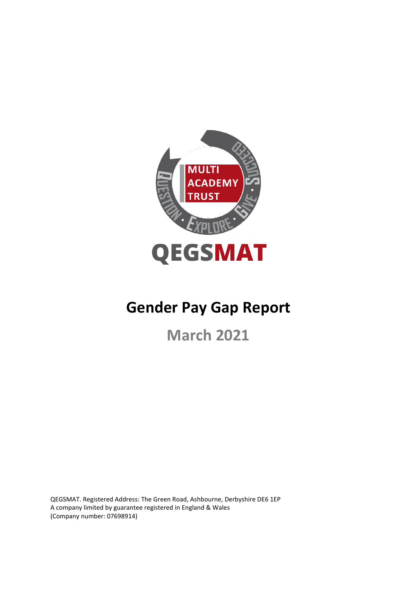

# **Gender Pay Gap Report**

**March 2021**

QEGSMAT. Registered Address: The Green Road, Ashbourne, Derbyshire DE6 1EP A company limited by guarantee registered in England & Wales (Company number: 07698914)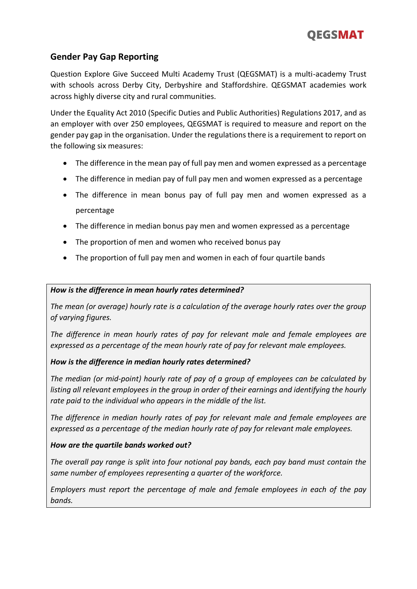

### **Gender Pay Gap Reporting**

Question Explore Give Succeed Multi Academy Trust (QEGSMAT) is a multi-academy Trust with schools across Derby City, Derbyshire and Staffordshire. QEGSMAT academies work across highly diverse city and rural communities.

Under the Equality Act 2010 (Specific Duties and Public Authorities) Regulations 2017, and as an employer with over 250 employees, QEGSMAT is required to measure and report on the gender pay gap in the organisation. Under the regulations there is a requirement to report on the following six measures:

- The difference in the mean pay of full pay men and women expressed as a percentage
- The difference in median pay of full pay men and women expressed as a percentage
- The difference in mean bonus pay of full pay men and women expressed as a percentage
- The difference in median bonus pay men and women expressed as a percentage
- The proportion of men and women who received bonus pay
- The proportion of full pay men and women in each of four quartile bands

#### *How is the difference in mean hourly rates determined?*

*The mean (or average) hourly rate is a calculation of the average hourly rates over the group of varying figures.* 

*The difference in mean hourly rates of pay for relevant male and female employees are expressed as a percentage of the mean hourly rate of pay for relevant male employees.*

### *How is the difference in median hourly rates determined?*

*The median (or mid-point) hourly rate of pay of a group of employees can be calculated by listing all relevant employees in the group in order of their earnings and identifying the hourly rate paid to the individual who appears in the middle of the list.* 

*The difference in median hourly rates of pay for relevant male and female employees are expressed as a percentage of the median hourly rate of pay for relevant male employees.* 

#### *How are the quartile bands worked out?*

*The overall pay range is split into four notional pay bands, each pay band must contain the same number of employees representing a quarter of the workforce.* 

*Employers must report the percentage of male and female employees in each of the pay bands.*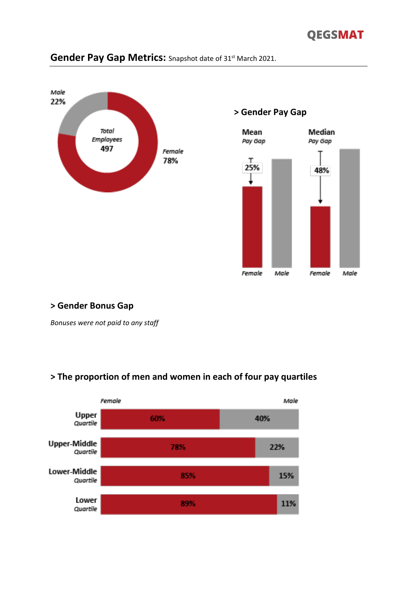## **QEGSMAT**



## Gender Pay Gap Metrics: Snapshot date of 31<sup>st</sup> March 2021.

### **> Gender Bonus Gap**

*Bonuses were not paid to any staff*

### **> The proportion of men and women in each of four pay quartiles**